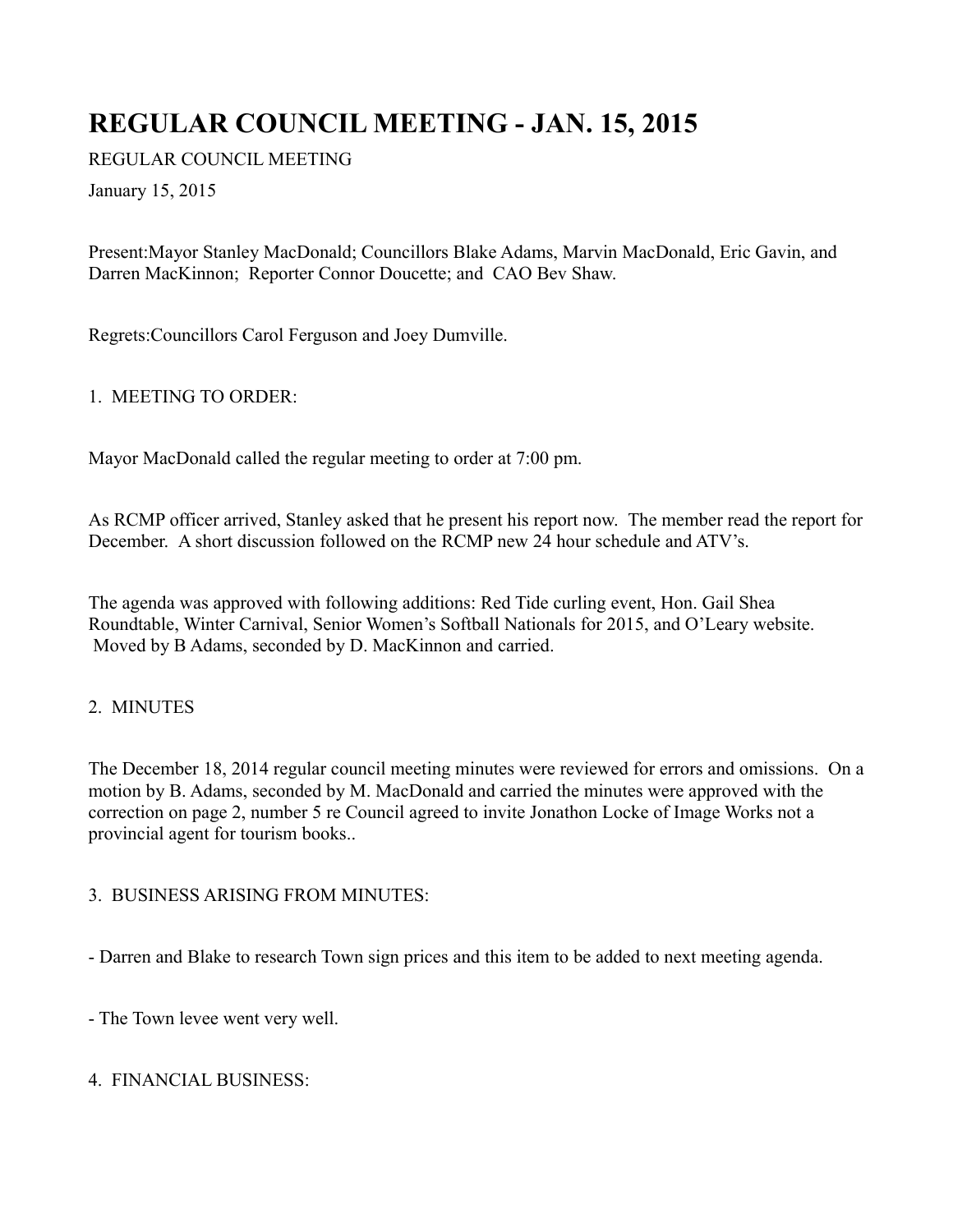# **REGULAR COUNCIL MEETING - JAN. 15, 2015**

REGULAR COUNCIL MEETING

January 15, 2015

Present:Mayor Stanley MacDonald; Councillors Blake Adams, Marvin MacDonald, Eric Gavin, and Darren MacKinnon; Reporter Connor Doucette; and CAO Bev Shaw.

Regrets:Councillors Carol Ferguson and Joey Dumville.

## 1. MEETING TO ORDER:

Mayor MacDonald called the regular meeting to order at 7:00 pm.

As RCMP officer arrived, Stanley asked that he present his report now. The member read the report for December. A short discussion followed on the RCMP new 24 hour schedule and ATV's.

The agenda was approved with following additions: Red Tide curling event, Hon. Gail Shea Roundtable, Winter Carnival, Senior Women's Softball Nationals for 2015, and O'Leary website. Moved by B Adams, seconded by D. MacKinnon and carried.

## 2. MINUTES

The December 18, 2014 regular council meeting minutes were reviewed for errors and omissions. On a motion by B. Adams, seconded by M. MacDonald and carried the minutes were approved with the correction on page 2, number 5 re Council agreed to invite Jonathon Locke of Image Works not a provincial agent for tourism books..

## 3. BUSINESS ARISING FROM MINUTES:

- Darren and Blake to research Town sign prices and this item to be added to next meeting agenda.

- The Town levee went very well.

## 4. FINANCIAL BUSINESS: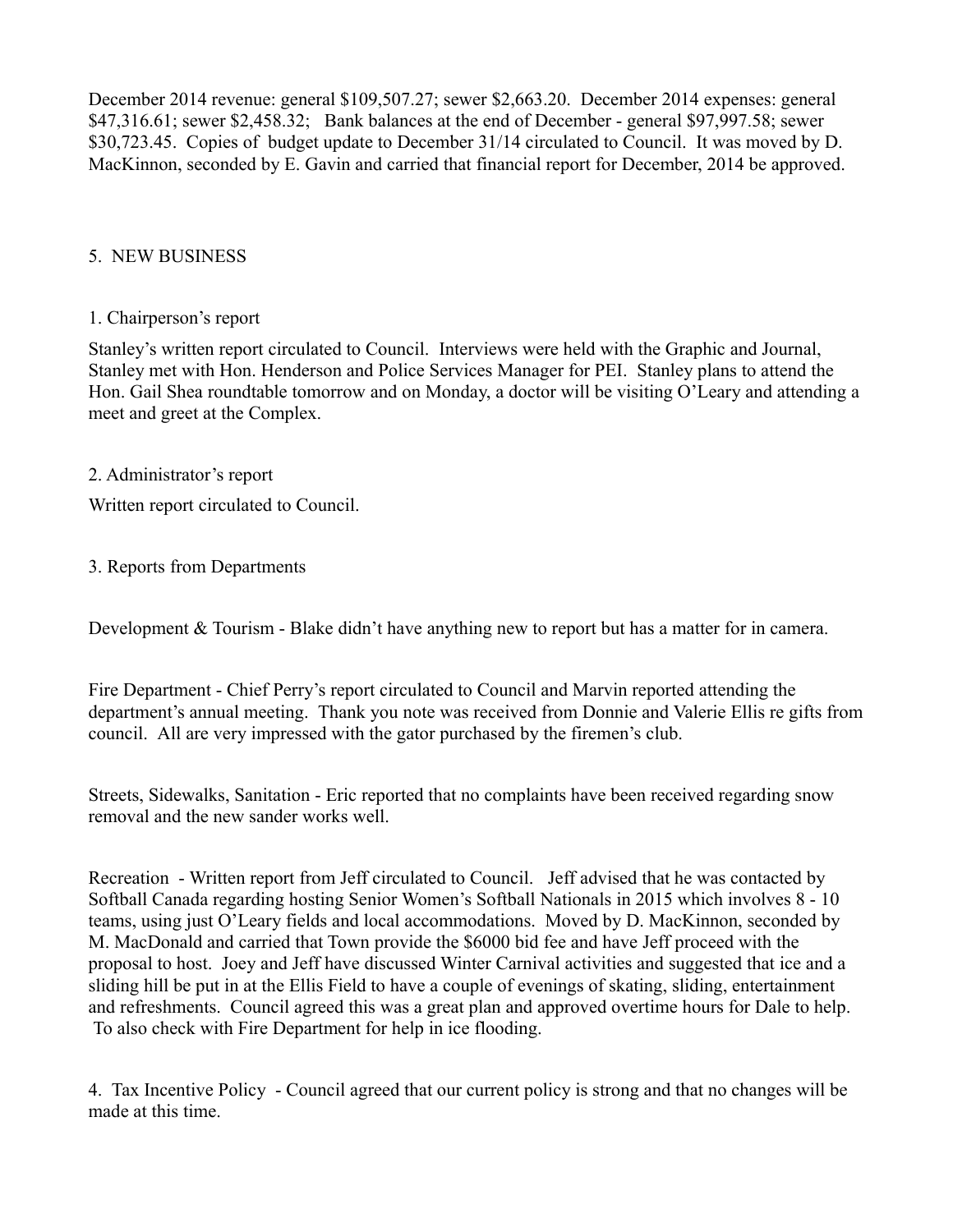December 2014 revenue: general \$109,507.27; sewer \$2,663.20. December 2014 expenses: general \$47,316.61; sewer \$2,458.32; Bank balances at the end of December - general \$97,997.58; sewer \$30,723.45. Copies of budget update to December 31/14 circulated to Council. It was moved by D. MacKinnon, seconded by E. Gavin and carried that financial report for December, 2014 be approved.

## 5. NEW BUSINESS

#### 1. Chairperson's report

Stanley's written report circulated to Council. Interviews were held with the Graphic and Journal, Stanley met with Hon. Henderson and Police Services Manager for PEI. Stanley plans to attend the Hon. Gail Shea roundtable tomorrow and on Monday, a doctor will be visiting O'Leary and attending a meet and greet at the Complex.

#### 2. Administrator's report

Written report circulated to Council.

### 3. Reports from Departments

Development & Tourism - Blake didn't have anything new to report but has a matter for in camera.

Fire Department - Chief Perry's report circulated to Council and Marvin reported attending the department's annual meeting. Thank you note was received from Donnie and Valerie Ellis re gifts from council. All are very impressed with the gator purchased by the firemen's club.

Streets, Sidewalks, Sanitation - Eric reported that no complaints have been received regarding snow removal and the new sander works well.

Recreation - Written report from Jeff circulated to Council. Jeff advised that he was contacted by Softball Canada regarding hosting Senior Women's Softball Nationals in 2015 which involves 8 - 10 teams, using just O'Leary fields and local accommodations. Moved by D. MacKinnon, seconded by M. MacDonald and carried that Town provide the \$6000 bid fee and have Jeff proceed with the proposal to host. Joey and Jeff have discussed Winter Carnival activities and suggested that ice and a sliding hill be put in at the Ellis Field to have a couple of evenings of skating, sliding, entertainment and refreshments. Council agreed this was a great plan and approved overtime hours for Dale to help. To also check with Fire Department for help in ice flooding.

4. Tax Incentive Policy - Council agreed that our current policy is strong and that no changes will be made at this time.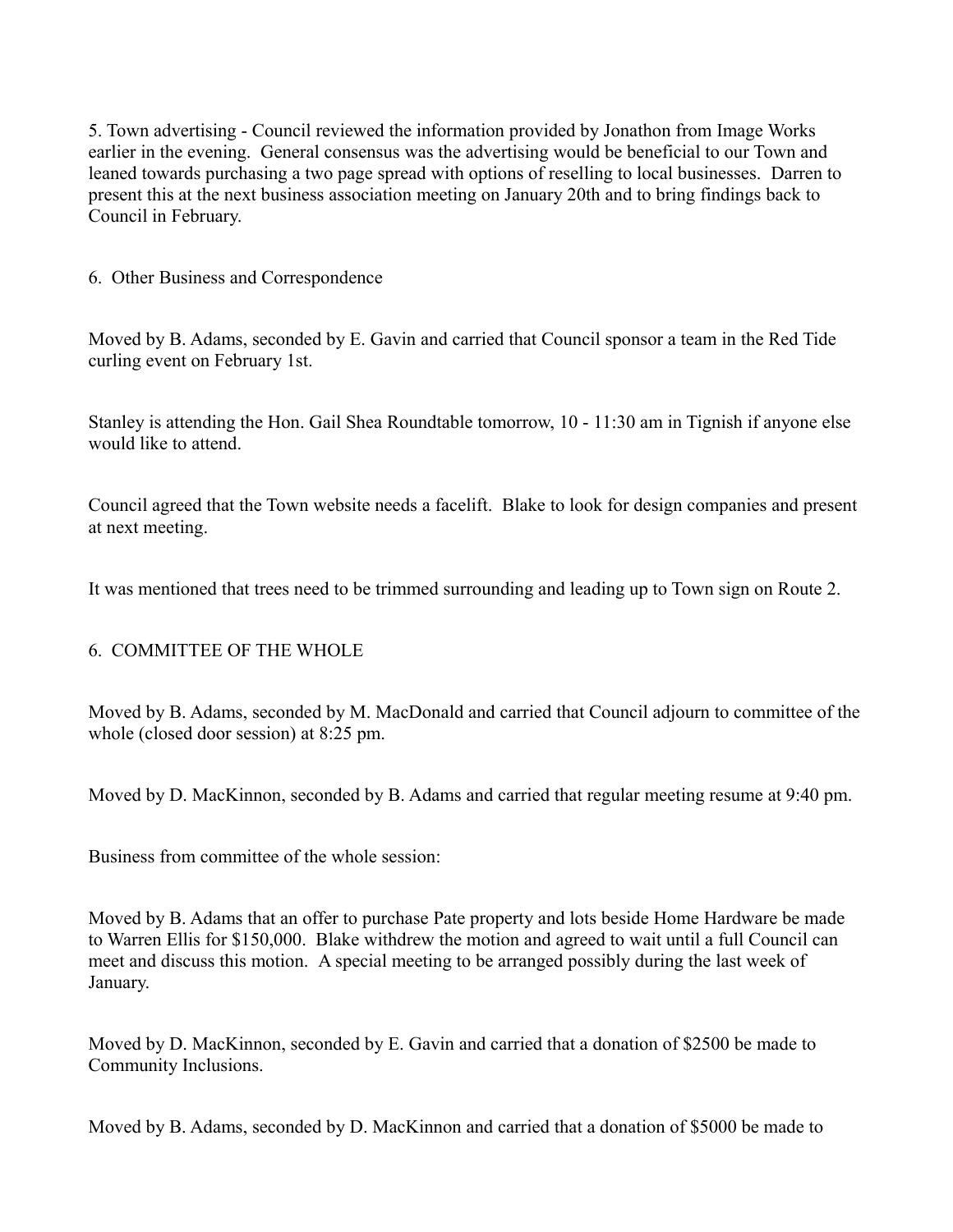5. Town advertising - Council reviewed the information provided by Jonathon from Image Works earlier in the evening. General consensus was the advertising would be beneficial to our Town and leaned towards purchasing a two page spread with options of reselling to local businesses. Darren to present this at the next business association meeting on January 20th and to bring findings back to Council in February.

6. Other Business and Correspondence

Moved by B. Adams, seconded by E. Gavin and carried that Council sponsor a team in the Red Tide curling event on February 1st.

Stanley is attending the Hon. Gail Shea Roundtable tomorrow, 10 - 11:30 am in Tignish if anyone else would like to attend.

Council agreed that the Town website needs a facelift. Blake to look for design companies and present at next meeting.

It was mentioned that trees need to be trimmed surrounding and leading up to Town sign on Route 2.

## 6. COMMITTEE OF THE WHOLE

Moved by B. Adams, seconded by M. MacDonald and carried that Council adjourn to committee of the whole (closed door session) at 8:25 pm.

Moved by D. MacKinnon, seconded by B. Adams and carried that regular meeting resume at 9:40 pm.

Business from committee of the whole session:

Moved by B. Adams that an offer to purchase Pate property and lots beside Home Hardware be made to Warren Ellis for \$150,000. Blake withdrew the motion and agreed to wait until a full Council can meet and discuss this motion. A special meeting to be arranged possibly during the last week of January.

Moved by D. MacKinnon, seconded by E. Gavin and carried that a donation of \$2500 be made to Community Inclusions.

Moved by B. Adams, seconded by D. MacKinnon and carried that a donation of \$5000 be made to